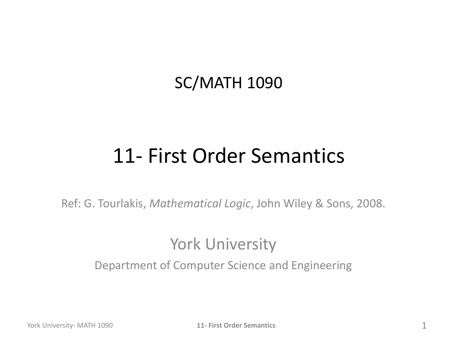#### SC/MATH 1090

### 11- First Order Semantics

Ref: G. Tourlakis, *Mathematical Logic*, John Wiley & Sons, 2008.

#### York University

Department of Computer Science and Engineering

York University- MATH 1090 **11- First Order Semantics** 1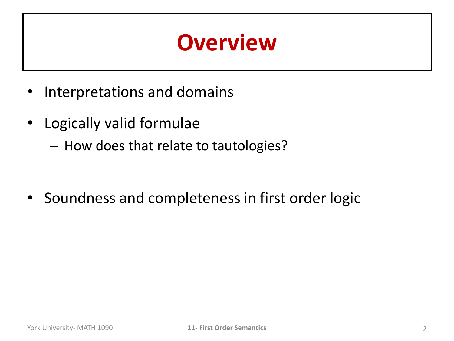## **Overview**

- Interpretations and domains
- Logically valid formulae
	- How does that relate to tautologies?

• Soundness and completeness in first order logic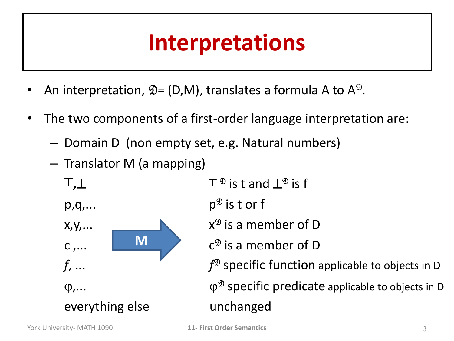## **Interpretations**

- An interpretation,  $\mathfrak{D} = (D, M)$ , translates a formula A to  $A^{\mathfrak{D}}$ .
- The two components of a first-order language interpretation are:
	- Domain D (non empty set, e.g. Natural numbers)
	- Translator M (a mapping)
		- **┬,**

 $p,q,...$ 



everything else unchanged

 $T^{\mathcal{D}}$  is t and  $L^{\mathcal{D}}$  is f  $p^{\mathcal{D}}$  is t or f  $x^{\mathcal{D}}$  is a member of D  $c^{\mathcal{D}}$  is a member of D  $f^{\mathcal{D}}$  specific function applicable to objects in D  $\varphi$ ,...  $\varphi^{\mathfrak{D}}$  specific predicate applicable to objects in D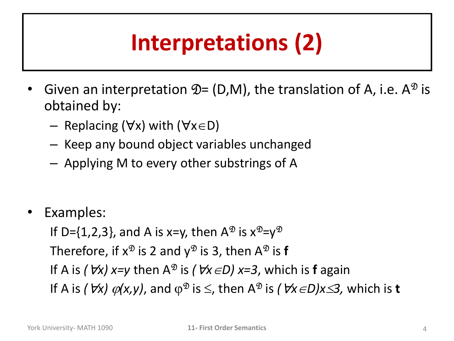# **Interpretations (2)**

- Given an interpretation  $\mathfrak{D} = (D,M)$ , the translation of A, i.e. A<sup> $\mathfrak{D}$ </sup> is obtained by:
	- Replacing ( $\forall x$ ) with ( $\forall x \in D$ )
	- Keep any bound object variables unchanged
	- Applying M to every other substrings of A
- Examples:

If D={1,2,3}, and A is x=y, then  $A^{\mathfrak{D}}$  is  $x^{\mathfrak{D}}=y^{\mathfrak{D}}$ Therefore, if  $\mathsf{x}^\mathfrak{D}$  is 2 and  $\mathsf{y}^\mathfrak{D}$  is 3, then A $^\mathfrak{D}$  is **f** If A is *(Vx)*  $x=y$  then A<sup> $\mathcal{D}$ </sup> is *(Vx*  $\in$ *D)*  $x=3$ , which is **f** again If A is *(Vx)*  $\varphi$ (*x,y*), and  $\varphi^{\mathfrak{D}}$  is  $\leq$ , then A<sup> $\mathfrak{D}$ </sup> is *(Vx*  $\in$ *D)x* $\leq$ *3*, which is **t**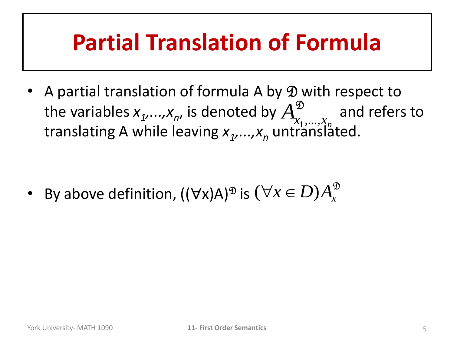## **Partial Translation of Formula**

• A partial translation of formula A by D with respect to the variables  $x_1,...,x_n$ , is denoted by  $A^{\mathcal{D}}_{x_1,...,x_n}$  and refers to translating A while leaving  $x_1, ..., x_n$  untranslated.  $\mathfrak{D}$  $A^{\mathfrak{D}}_{x_{1},...,x_{n}}$ 

• By above definition,  $((\forall x)A)^{\mathfrak{D}}$  is  $(\forall x \in D)A_x^{\mathfrak{D}}$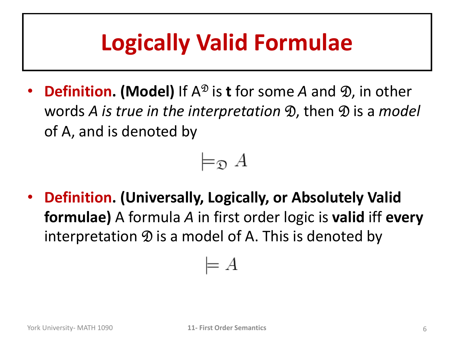## **Logically Valid Formulae**

**Definition. (Model)** If A<sup> $\mathcal{D}$  is **t** for some A and  $\mathcal{D}$ , in other</sup> words *A is true in the interpretation* **D**, then **D** is a *model* of A, and is denoted by



• **Definition. (Universally, Logically, or Absolutely Valid formulae)** A formula *A* in first order logic is **valid** iff **every** interpretation  $\mathcal D$  is a model of A. This is denoted by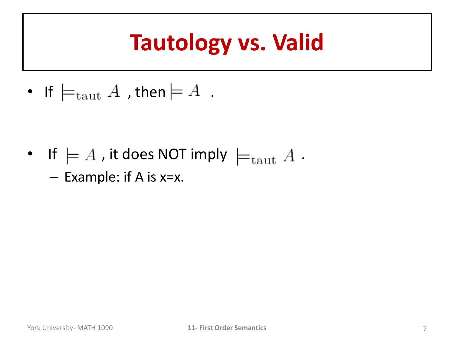## **Tautology vs. Valid**

• If  $\models_{\text{taut}} A$  , then  $\models A$ .

- If  $\models A$  , it does NOT imply  $\models$   $_{\mathrm{taut}} A$ .
	- Example: if A is x=x.